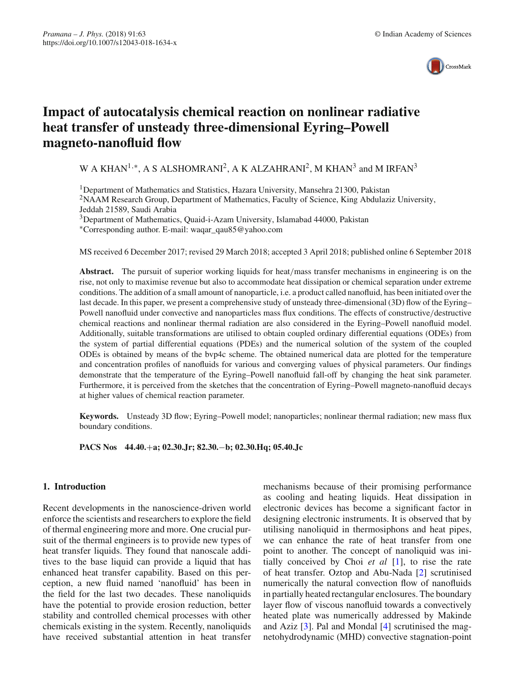

# **Impact of autocatalysis chemical reaction on nonlinear radiative heat transfer of unsteady three-dimensional Eyring–Powell magneto-nanofluid flow**

# W A KHAN<sup>1,∗</sup>, A S ALSHOMRANI<sup>2</sup>, A K ALZAHRANI<sup>2</sup>, M KHAN<sup>3</sup> and M IRFAN<sup>3</sup>

1Department of Mathematics and Statistics, Hazara University, Mansehra 21300, Pakistan <sup>2</sup>NAAM Research Group, Department of Mathematics, Faculty of Science, King Abdulaziz University, Jeddah 21589, Saudi Arabia

<sup>3</sup>Department of Mathematics, Quaid-i-Azam University, Islamabad 44000, Pakistan

∗Corresponding author. E-mail: waqar\_qau85@yahoo.com

MS received 6 December 2017; revised 29 March 2018; accepted 3 April 2018; published online 6 September 2018

**Abstract.** The pursuit of superior working liquids for heat/mass transfer mechanisms in engineering is on the rise, not only to maximise revenue but also to accommodate heat dissipation or chemical separation under extreme conditions. The addition of a small amount of nanoparticle, i.e. a product called nanofluid, has been initiated over the last decade. In this paper, we present a comprehensive study of unsteady three-dimensional (3D) flow of the Eyring– Powell nanofluid under convective and nanoparticles mass flux conditions. The effects of constructive/destructive chemical reactions and nonlinear thermal radiation are also considered in the Eyring–Powell nanofluid model. Additionally, suitable transformations are utilised to obtain coupled ordinary differential equations (ODEs) from the system of partial differential equations (PDEs) and the numerical solution of the system of the coupled ODEs is obtained by means of the bvp4c scheme. The obtained numerical data are plotted for the temperature and concentration profiles of nanofluids for various and converging values of physical parameters. Our findings demonstrate that the temperature of the Eyring–Powell nanofluid fall-off by changing the heat sink parameter. Furthermore, it is perceived from the sketches that the concentration of Eyring–Powell magneto-nanofluid decays at higher values of chemical reaction parameter.

**Keywords.** Unsteady 3D flow; Eyring–Powell model; nanoparticles; nonlinear thermal radiation; new mass flux boundary conditions.

**PACS Nos 44.40.**+**a; 02.30.Jr; 82.30.**−**b; 02.30.Hq; 05.40.Jc**

## **1. Introduction**

Recent developments in the nanoscience-driven world enforce the scientists and researchers to explore the field of thermal engineering more and more. One crucial pursuit of the thermal engineers is to provide new types of heat transfer liquids. They found that nanoscale additives to the base liquid can provide a liquid that has enhanced heat transfer capability. Based on this perception, a new fluid named 'nanofluid' has been in the field for the last two decades. These nanoliquids have the potential to provide erosion reduction, better stability and controlled chemical processes with other chemicals existing in the system. Recently, nanoliquids have received substantial attention in heat transfer

mechanisms because of their promising performance as cooling and heating liquids. Heat dissipation in electronic devices has become a significant factor in designing electronic instruments. It is observed that by utilising nanoliquid in thermosiphons and heat pipes, we can enhance the rate of heat transfer from one point to another. The concept of nanoliquid was initially conceived by Choi *et al* [\[1\]](#page-8-0), to rise the rate of heat transfer. Oztop and Abu-Nada [\[2](#page-8-1)] scrutinised numerically the natural convection flow of nanofluids in partially heated rectangular enclosures. The boundary layer flow of viscous nanofluid towards a convectively heated plate was numerically addressed by Makinde and Aziz [\[3\]](#page-8-2). Pal and Mondal [\[4\]](#page-8-3) scrutinised the magnetohydrodynamic (MHD) convective stagnation-point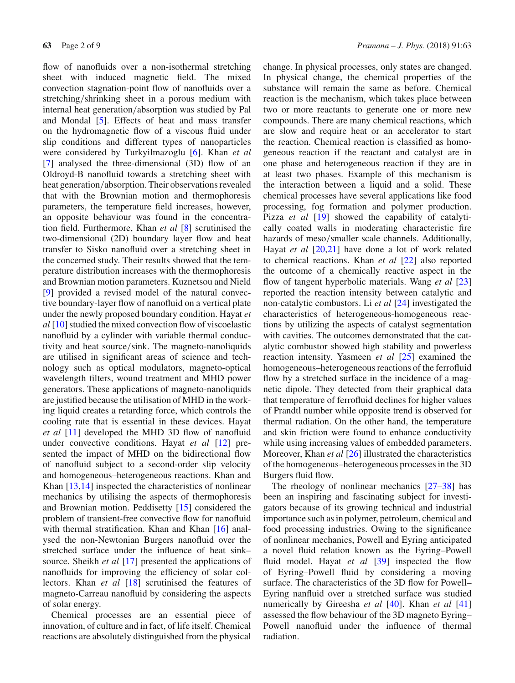flow of nanofluids over a non-isothermal stretching sheet with induced magnetic field. The mixed convection stagnation-point flow of nanofluids over a stretching/shrinking sheet in a porous medium with internal heat generation/absorption was studied by Pal and Mondal [\[5](#page-8-4)]. Effects of heat and mass transfer on the hydromagnetic flow of a viscous fluid under slip conditions and different types of nanoparticles were considered by Turkyilmazoglu [\[6\]](#page-8-5). Khan *et al* [\[7\]](#page-8-6) analysed the three-dimensional (3D) flow of an Oldroyd-B nanofluid towards a stretching sheet with heat generation/absorption. Their observations revealed that with the Brownian motion and thermophoresis parameters, the temperature field increases, however, an opposite behaviour was found in the concentration field. Furthermore, Khan *et al* [\[8](#page-8-7)] scrutinised the two-dimensional (2D) boundary layer flow and heat transfer to Sisko nanofluid over a stretching sheet in the concerned study. Their results showed that the temperature distribution increases with the thermophoresis and Brownian motion parameters. Kuznetsou and Nield [\[9\]](#page-8-8) provided a revised model of the natural convective boundary-layer flow of nanofluid on a vertical plate under the newly proposed boundary condition. Hayat *et al* [\[10\]](#page-8-9) studied the mixed convection flow of viscoelastic nanofluid by a cylinder with variable thermal conductivity and heat source/sink. The magneto-nanoliquids are utilised in significant areas of science and technology such as optical modulators, magneto-optical wavelength filters, wound treatment and MHD power generators. These applications of magneto-nanoliquids are justified because the utilisation of MHD in the working liquid creates a retarding force, which controls the cooling rate that is essential in these devices. Hayat *et al* [\[11\]](#page-8-10) developed the MHD 3D flow of nanofluid under convective conditions. Hayat *et al* [\[12](#page-8-11)] presented the impact of MHD on the bidirectional flow of nanofluid subject to a second-order slip velocity and homogeneous–heterogeneous reactions. Khan and Khan [\[13](#page-8-12)[,14](#page-8-13)] inspected the characteristics of nonlinear mechanics by utilising the aspects of thermophoresis and Brownian motion. Peddisetty [\[15](#page-8-14)] considered the problem of transient-free convective flow for nanofluid with thermal stratification. Khan and Khan [\[16](#page-8-15)] analysed the non-Newtonian Burgers nanofluid over the stretched surface under the influence of heat sink– source. Sheikh *et al* [\[17\]](#page-8-16) presented the applications of nanofluids for improving the efficiency of solar collectors. Khan *et al* [\[18](#page-8-17)] scrutinised the features of magneto-Carreau nanofluid by considering the aspects of solar energy.

Chemical processes are an essential piece of innovation, of culture and in fact, of life itself. Chemical reactions are absolutely distinguished from the physical change. In physical processes, only states are changed. In physical change, the chemical properties of the substance will remain the same as before. Chemical reaction is the mechanism, which takes place between two or more reactants to generate one or more new compounds. There are many chemical reactions, which are slow and require heat or an accelerator to start the reaction. Chemical reaction is classified as homogeneous reaction if the reactant and catalyst are in one phase and heterogeneous reaction if they are in at least two phases. Example of this mechanism is the interaction between a liquid and a solid. These chemical processes have several applications like food processing, fog formation and polymer production. Pizza *et al* [\[19](#page-8-18)] showed the capability of catalytically coated walls in moderating characteristic fire hazards of meso/smaller scale channels. Additionally, Hayat *et al* [\[20](#page-8-19)[,21\]](#page-8-20) have done a lot of work related to chemical reactions. Khan *et al* [\[22](#page-8-21)] also reported the outcome of a chemically reactive aspect in the flow of tangent hyperbolic materials. Wang *et al* [\[23\]](#page-8-22) reported the reaction intensity between catalytic and non-catalytic combustors. Li *et al* [\[24](#page-8-23)] investigated the characteristics of heterogeneous-homogeneous reactions by utilizing the aspects of catalyst segmentation with cavities. The outcomes demonstrated that the catalytic combustor showed high stability and powerless reaction intensity. Yasmeen *et al* [\[25\]](#page-8-24) examined the homogeneous–heterogeneous reactions of the ferrofluid flow by a stretched surface in the incidence of a magnetic dipole. They detected from their graphical data that temperature of ferrofluid declines for higher values of Prandtl number while opposite trend is observed for thermal radiation. On the other hand, the temperature and skin friction were found to enhance conductivity while using increasing values of embedded parameters. Moreover, Khan *et al* [\[26\]](#page-8-25) illustrated the characteristics of the homogeneous–heterogeneous processes in the 3D Burgers fluid flow.

The rheology of nonlinear mechanics [\[27](#page-8-26)[–38](#page-8-27)] has been an inspiring and fascinating subject for investigators because of its growing technical and industrial importance such as in polymer, petroleum, chemical and food processing industries. Owing to the significance of nonlinear mechanics, Powell and Eyring anticipated a novel fluid relation known as the Eyring–Powell fluid model. Hayat *et al* [\[39](#page-8-28)] inspected the flow of Eyring–Powell fluid by considering a moving surface. The characteristics of the 3D flow for Powell– Eyring nanfluid over a stretched surface was studied numerically by Gireesha *et al* [\[40\]](#page-8-29). Khan *et al* [\[41\]](#page-8-30) assessed the flow behaviour of the 3D magneto Eyring– Powell nanofluid under the influence of thermal radiation.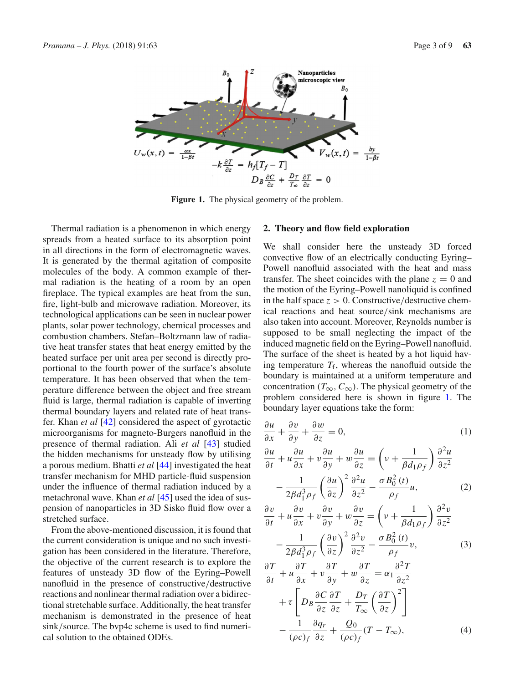

<span id="page-2-0"></span>**Figure 1.** The physical geometry of the problem.

Thermal radiation is a phenomenon in which energy spreads from a heated surface to its absorption point in all directions in the form of electromagnetic waves. It is generated by the thermal agitation of composite molecules of the body. A common example of thermal radiation is the heating of a room by an open fireplace. The typical examples are heat from the sun, fire, light-bulb and microwave radiation. Moreover, its technological applications can be seen in nuclear power plants, solar power technology, chemical processes and combustion chambers. Stefan–Boltzmann law of radiative heat transfer states that heat energy emitted by the heated surface per unit area per second is directly proportional to the fourth power of the surface's absolute temperature. It has been observed that when the temperature difference between the object and free stream fluid is large, thermal radiation is capable of inverting thermal boundary layers and related rate of heat transfer. Khan *et al* [\[42\]](#page-8-31) considered the aspect of gyrotactic microorganisms for magneto-Burgers nanofluid in the presence of thermal radiation. Ali *et al* [\[43](#page-8-32)] studied the hidden mechanisms for unsteady flow by utilising a porous medium. Bhatti *et al* [\[44\]](#page-8-33) investigated the heat transfer mechanism for MHD particle-fluid suspension under the influence of thermal radiation induced by a metachronal wave. Khan *et al* [\[45](#page-8-34)] used the idea of suspension of nanoparticles in 3D Sisko fluid flow over a stretched surface.

From the above-mentioned discussion, it is found that the current consideration is unique and no such investigation has been considered in the literature. Therefore, the objective of the current research is to explore the features of unsteady 3D flow of the Eyring–Powell nanofluid in the presence of constructive/destructive reactions and nonlinear thermal radiation over a bidirectional stretchable surface. Additionally, the heat transfer mechanism is demonstrated in the presence of heat sink/source. The bvp4c scheme is used to find numerical solution to the obtained ODEs.

### **2. Theory and flow field exploration**

We shall consider here the unsteady 3D forced convective flow of an electrically conducting Eyring– Powell nanofluid associated with the heat and mass transfer. The sheet coincides with the plane  $z = 0$  and the motion of the Eyring–Powell nanoliquid is confined in the half space  $z > 0$ . Constructive/destructive chemical reactions and heat source/sink mechanisms are also taken into account. Moreover, Reynolds number is supposed to be small neglecting the impact of the induced magnetic field on the Eyring–Powell nanofluid. The surface of the sheet is heated by a hot liquid having temperature  $T_f$ , whereas the nanofluid outside the boundary is maintained at a uniform temperature and concentration ( $T_\infty$ ,  $C_\infty$ ). The physical geometry of the problem considered here is shown in figure [1.](#page-2-0) The boundary layer equations take the form:

<span id="page-2-1"></span>
$$
\frac{\partial u}{\partial x} + \frac{\partial v}{\partial y} + \frac{\partial w}{\partial z} = 0,\tag{1}
$$

$$
\frac{\partial u}{\partial t} + u \frac{\partial u}{\partial x} + v \frac{\partial u}{\partial y} + w \frac{\partial u}{\partial z} = \left( v + \frac{1}{\beta d_1 \rho_f} \right) \frac{\partial^2 u}{\partial z^2} \n- \frac{1}{2\beta d_1^3 \rho_f} \left( \frac{\partial u}{\partial z} \right)^2 \frac{\partial^2 u}{\partial z^2} - \frac{\sigma B_0^2(t)}{\rho_f} u,
$$
\n(2)

$$
\frac{\partial v}{\partial t} + u \frac{\partial v}{\partial x} + v \frac{\partial v}{\partial y} + w \frac{\partial v}{\partial z} = \left( v + \frac{1}{\beta d_1 \rho_f} \right) \frac{\partial^2 v}{\partial z^2} \n- \frac{1}{2\beta d_1^3 \rho_f} \left( \frac{\partial v}{\partial z} \right)^2 \frac{\partial^2 v}{\partial z^2} - \frac{\sigma B_0^2(t)}{\rho_f} v,
$$
\n(3)

$$
\frac{\partial T}{\partial t} + u \frac{\partial T}{\partial x} + v \frac{\partial T}{\partial y} + w \frac{\partial T}{\partial z} = \alpha_1 \frac{\partial^2 T}{\partial z^2} \n+ \tau \left[ D_B \frac{\partial C}{\partial z} \frac{\partial T}{\partial z} + \frac{D_T}{T_{\infty}} \left( \frac{\partial T}{\partial z} \right)^2 \right] \n- \frac{1}{(\rho c)_f} \frac{\partial q_r}{\partial z} + \frac{Q_0}{(\rho c)_f} (T - T_{\infty}),
$$
\n(4)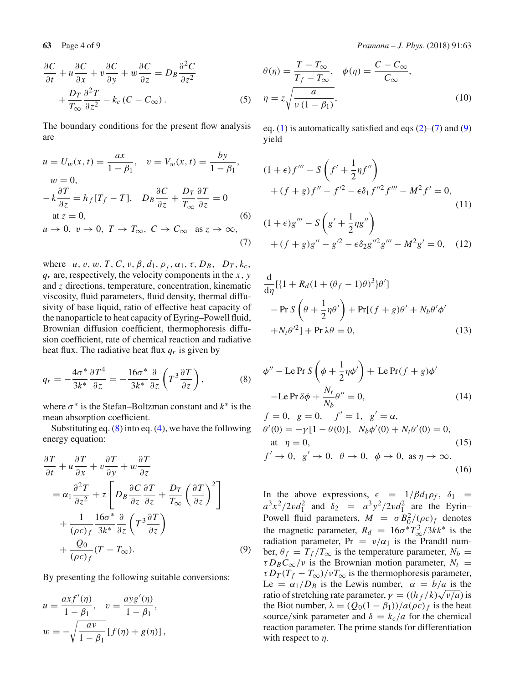$$
\frac{\partial C}{\partial t} + u \frac{\partial C}{\partial x} + v \frac{\partial C}{\partial y} + w \frac{\partial C}{\partial z} = D_B \frac{\partial^2 C}{\partial z^2} + \frac{D_T}{T_{\infty}} \frac{\partial^2 T}{\partial z^2} - k_c (C - C_{\infty}).
$$
\n(5)

The boundary conditions for the present flow analysis are

<span id="page-3-1"></span>
$$
u = U_w(x, t) = \frac{ax}{1 - \beta_1}, \quad v = V_w(x, t) = \frac{by}{1 - \beta_1},
$$
  
\n
$$
w = 0,
$$
  
\n
$$
-k\frac{\partial T}{\partial z} = h_f[T_f - T], \quad D_B \frac{\partial C}{\partial z} + \frac{D_T}{T_\infty} \frac{\partial T}{\partial z} = 0
$$
  
\nat  $z = 0,$   
\n
$$
u \to 0, \quad v \to 0, \quad T \to T_\infty, \quad C \to C_\infty \quad \text{as } z \to \infty,
$$
\n(7)

where  $u, v, w, T, C, v, \beta, d_1, \rho_f, \alpha_1, \tau, D_B, D_T, k_c$ , *qr* are, respectively, the velocity components in the *x*, *y* and *z* directions, temperature, concentration, kinematic viscosity, fluid parameters, fluid density, thermal diffusivity of base liquid, ratio of effective heat capacity of the nanoparticle to heat capacity of Eyring–Powell fluid, Brownian diffusion coefficient, thermophoresis diffusion coefficient, rate of chemical reaction and radiative heat flux. The radiative heat flux  $q_r$  is given by

$$
q_r = -\frac{4\sigma^*}{3k^*} \frac{\partial T^4}{\partial z} = -\frac{16\sigma^*}{3k^*} \frac{\partial}{\partial z} \left( T^3 \frac{\partial T}{\partial z} \right),\tag{8}
$$

where  $\sigma^*$  is the Stefan–Boltzman constant and  $k^*$  is the mean absorption coefficient.

Substituting eq.  $(8)$  into eq.  $(4)$ , we have the following energy equation:

$$
\frac{\partial T}{\partial t} + u \frac{\partial T}{\partial x} + v \frac{\partial T}{\partial y} + w \frac{\partial T}{\partial z} \n= \alpha_1 \frac{\partial^2 T}{\partial z^2} + \tau \left[ D_B \frac{\partial C}{\partial z} \frac{\partial T}{\partial z} + \frac{D_T}{T_{\infty}} \left( \frac{\partial T}{\partial z} \right)^2 \right] \n+ \frac{1}{(\rho c)_f} \frac{16\sigma^*}{3k^*} \frac{\partial}{\partial z} \left( T^3 \frac{\partial T}{\partial z} \right) \n+ \frac{Q_0}{(\rho c)_f} (T - T_{\infty}).
$$
\n(9)

By presenting the following suitable conversions:

$$
u = \frac{ax f'(\eta)}{1 - \beta_1}, \quad v = \frac{ay g'(\eta)}{1 - \beta_1},
$$
  

$$
w = -\sqrt{\frac{av}{1 - \beta_1}} [f(\eta) + g(\eta)],
$$

**63** Page 4 of 9 *Pramana – J. Phys.* (2018) 91:63

$$
\theta(\eta) = \frac{T - T_{\infty}}{T_f - T_{\infty}}, \quad \phi(\eta) = \frac{C - C_{\infty}}{C_{\infty}},
$$

$$
\eta = z \sqrt{\frac{a}{\nu (1 - \beta_1)}}, \tag{10}
$$

eq. [\(1\)](#page-2-1) is automatically satisfied and eqs  $(2)$ – $(7)$  and  $(9)$ yield

$$
(1 + \epsilon)f''' - S\left(f' + \frac{1}{2}\eta f''\right) + (f + g)f'' - f'^2 - \epsilon \delta_1 f''^2 f''' - M^2 f' = 0,
$$
\n(11)

$$
(1 + \epsilon)g''' - S\left(g' + \frac{1}{2}\eta g''\right) + (f + g)g'' - g'^2 - \epsilon \delta_2 g''^2 g''' - M^2 g' = 0, \quad (12)
$$

$$
\frac{d}{d\eta}[\{1 + R_d(1 + (\theta_f - 1)\theta)^3\}\theta']
$$
  
- 
$$
- \Pr S\left(\theta + \frac{1}{2}\eta\theta'\right) + \Pr[(f + g)\theta' + N_b\theta'\phi'
$$
  
+ 
$$
N_t\theta'^2] + \Pr \lambda\theta = 0,
$$
 (13)

<span id="page-3-0"></span>
$$
\phi'' - \text{Le Pr } S\left(\phi + \frac{1}{2}\eta\phi'\right) + \text{Le Pr}(f + g)\phi'
$$
  
- \text{Le Pr }\delta\phi + \frac{N\_t}{N\_b}\theta'' = 0, (14)

$$
f = 0, \ g = 0, \ f' = 1, \ g' = \alpha,
$$
  
\n
$$
\theta'(0) = -\gamma[1 - \theta(0)], \ N_b \phi'(0) + N_t \theta'(0) = 0,
$$
  
\nat  $\eta = 0,$  (15)  
\n
$$
f' \to 0, \ g' \to 0, \ \theta \to 0, \ \phi \to 0, \ \text{as } \eta \to \infty.
$$
 (16)

<span id="page-3-2"></span>In the above expressions,  $\epsilon = 1/\beta d_1 \rho_f$ ,  $\delta_1$  $a^3x^2/2vd_1^2$  and  $\delta_2 = a^3y^2/2vd_1^2$  are the Eyrin– Powell fluid parameters,  $M = \sigma B_0^2/(\rho c)_f$  denotes the magnetic parameter,  $R_d = 16\sigma^* T_{\infty}^3/3kk^*$  is the radiation parameter, Pr =  $v/\alpha_1$  is the Prandtl number,  $\theta_f = T_f/T_\infty$  is the temperature parameter,  $N_b =$  $\tau D_B C_\infty / \nu$  is the Brownian motion parameter,  $N_t =$  $\tau D_T(T_f - T_\infty)/\nu T_\infty$  is the thermophoresis parameter, Le =  $\alpha_1/D_B$  is the Lewis number,  $\alpha = b/a$  is the ratio of stretching rate parameter,  $\gamma = ((h_f/k)\sqrt{\nu/a})$  is the Biot number,  $\lambda = (Q_0(1 - \beta_1))/a(\rho c)f$  is the heat source/sink parameter and  $\delta = k_c/a$  for the chemical reaction parameter. The prime stands for differentiation with respect to  $\eta$ .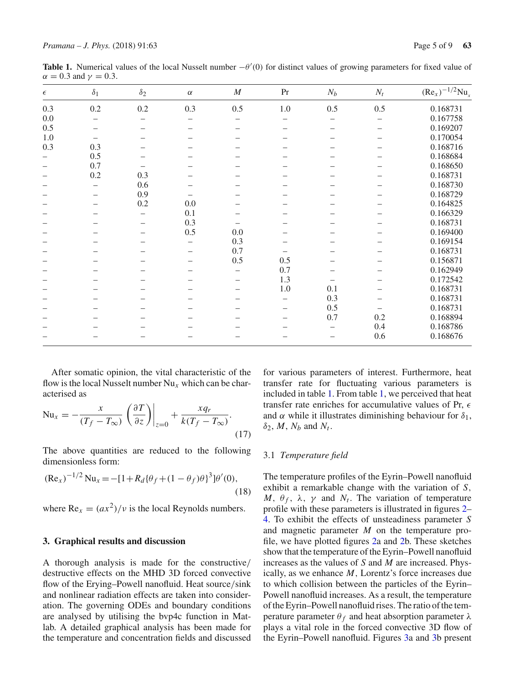<span id="page-4-0"></span>

| <b>Table 1.</b> Numerical values of the local Nusselt number $-\theta'(0)$ for distinct values of growing parameters for fixed value of |  |  |  |
|-----------------------------------------------------------------------------------------------------------------------------------------|--|--|--|
| $\alpha = 0.3$ and $\gamma = 0.3$ .                                                                                                     |  |  |  |

| $\epsilon$ | $\delta_1$ | $\delta_2$ | $\alpha$ | $\cal M$ | Pr      | $N_b$ | $N_t$ | $(Re_x)^{-1/2}Nu_x$ |
|------------|------------|------------|----------|----------|---------|-------|-------|---------------------|
| 0.3        | $0.2\,$    | $0.2\,$    | 0.3      | 0.5      | $1.0\,$ | 0.5   | 0.5   | 0.168731            |
| $0.0\,$    |            |            |          |          |         |       |       | 0.167758            |
| 0.5        |            |            |          |          |         |       |       | 0.169207            |
| 1.0        |            |            |          |          |         |       |       | 0.170054            |
| 0.3        | 0.3        |            |          |          |         |       |       | 0.168716            |
|            | 0.5        |            |          |          |         |       |       | 0.168684            |
|            | 0.7        |            |          |          |         |       |       | 0.168650            |
|            | $0.2\,$    | 0.3        |          |          |         |       |       | 0.168731            |
|            |            | 0.6        |          |          |         |       |       | 0.168730            |
|            |            | 0.9        |          |          |         |       |       | 0.168729            |
|            |            | 0.2        | 0.0      |          |         |       |       | 0.164825            |
|            |            |            | 0.1      |          |         |       |       | 0.166329            |
|            |            |            | 0.3      |          |         |       |       | 0.168731            |
|            |            |            | 0.5      | 0.0      |         |       |       | 0.169400            |
|            |            |            |          | 0.3      |         |       |       | 0.169154            |
|            |            |            |          | 0.7      |         |       |       | 0.168731            |
|            |            |            |          | 0.5      | 0.5     |       |       | 0.156871            |
|            |            |            |          |          | 0.7     |       |       | 0.162949            |
|            |            |            |          |          | 1.3     |       |       | 0.172542            |
|            |            |            |          |          | $1.0\,$ | 0.1   |       | 0.168731            |
|            |            |            |          |          |         | 0.3   |       | 0.168731            |
|            |            |            |          |          | -       | 0.5   |       | 0.168731            |
|            |            |            |          |          |         | 0.7   | 0.2   | 0.168894            |
|            |            |            |          |          |         |       | 0.4   | 0.168786            |
|            |            |            |          |          |         |       | 0.6   | 0.168676            |
|            |            |            |          |          |         |       |       |                     |

After somatic opinion, the vital characteristic of the flow is the local Nusselt number  $Nu_x$  which can be characterised as

$$
\text{Nu}_x = -\frac{x}{(T_f - T_\infty)} \left( \frac{\partial T}{\partial z} \right) \Big|_{z=0} + \frac{xq_r}{k(T_f - T_\infty)}.
$$
\n(17)

The above quantities are reduced to the following dimensionless form:

$$
(\text{Re}_x)^{-1/2} \text{Nu}_x = -[1 + R_d \{\theta_f + (1 - \theta_f)\theta\}^3] \theta'(0),
$$
\n(18)

where  $Re_x = (ax^2)/v$  is the local Reynolds numbers.

#### **3. Graphical results and discussion**

A thorough analysis is made for the constructive/ destructive effects on the MHD 3D forced convective flow of the Erying–Powell nanofluid. Heat source/sink and nonlinear radiation effects are taken into consideration. The governing ODEs and boundary conditions are analysed by utilising the bvp4c function in Matlab. A detailed graphical analysis has been made for the temperature and concentration fields and discussed for various parameters of interest. Furthermore, heat transfer rate for fluctuating various parameters is included in table [1.](#page-4-0) From table [1,](#page-4-0) we perceived that heat transfer rate enriches for accumulative values of Pr,  $\epsilon$ and  $\alpha$  while it illustrates diminishing behaviour for  $\delta_1$ ,  $\delta_2$ , *M*, *N<sub>b</sub>* and *N<sub>t</sub>*.

#### 3.1 *Temperature field*

The temperature profiles of the Eyrin–Powell nanofluid exhibit a remarkable change with the variation of *S*, *M*,  $\theta_f$ ,  $\lambda$ ,  $\gamma$  and  $N_t$ . The variation of temperature profile with these parameters is illustrated in figures [2–](#page-5-0) [4.](#page-5-1) To exhibit the effects of unsteadiness parameter *S* and magnetic parameter *M* on the temperature profile, we have plotted figures [2a](#page-5-0) and [2b](#page-5-0). These sketches show that the temperature of the Eyrin–Powell nanofluid increases as the values of *S* and *M* are increased. Physically, as we enhance *M*, Lorentz's force increases due to which collision between the particles of the Eyrin– Powell nanofluid increases. As a result, the temperature of the Eyrin–Powell nanofluid rises. The ratio of the temperature parameter  $θ_f$  and heat absorption parameter  $λ$ plays a vital role in the forced convective 3D flow of the Eyrin–Powell nanofluid. Figures [3a](#page-5-2) and [3b](#page-5-2) present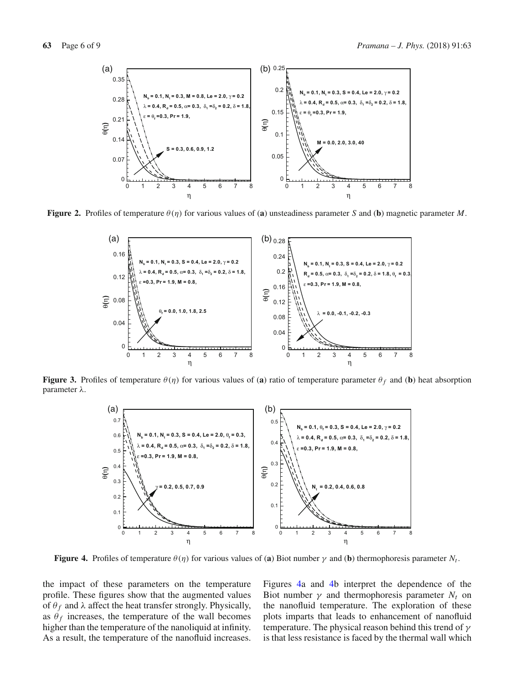

**Figure 2.** Profiles of temperature  $\theta(\eta)$  for various values of (a) unsteadiness parameter *S* and (b) magnetic parameter *M*.

<span id="page-5-0"></span>

**Figure 3.** Profiles of temperature  $\theta(\eta)$  for various values of (a) ratio of temperature parameter  $\theta_f$  and (b) heat absorption parameter λ.

<span id="page-5-2"></span>

<span id="page-5-1"></span>**Figure 4.** Profiles of temperature  $\theta(\eta)$  for various values of (a) Biot number  $\gamma$  and (b) thermophoresis parameter  $N_t$ .

the impact of these parameters on the temperature profile. These figures show that the augmented values of  $\theta_f$  and  $\lambda$  affect the heat transfer strongly. Physically, as  $\theta_f$  increases, the temperature of the wall becomes higher than the temperature of the nanoliquid at infinity. As a result, the temperature of the nanofluid increases. Figures [4a](#page-5-1) and [4b](#page-5-1) interpret the dependence of the Biot number  $\gamma$  and thermophoresis parameter  $N_t$  on the nanofluid temperature. The exploration of these plots imparts that leads to enhancement of nanofluid temperature. The physical reason behind this trend of  $\gamma$ is that less resistance is faced by the thermal wall which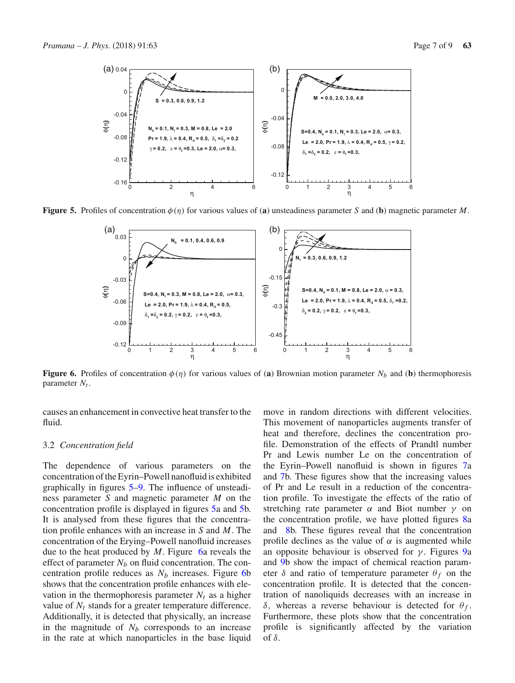

**Figure 5.** Profiles of concentration  $\phi(\eta)$  for various values of (a) unsteadiness parameter *S* and (b) magnetic parameter *M*.

<span id="page-6-0"></span>

<span id="page-6-1"></span>**Figure 6.** Profiles of concentration  $\phi(\eta)$  for various values of (a) Brownian motion parameter  $N_b$  and (b) thermophoresis parameter  $N_t$ .

causes an enhancement in convective heat transfer to the fluid.

#### 3.2 *Concentration field*

The dependence of various parameters on the concentration of the Eyrin–Powell nanofluid is exhibited graphically in figures [5](#page-6-0)[–9.](#page-7-0) The influence of unsteadiness parameter *S* and magnetic parameter *M* on the concentration profile is displayed in figures [5a](#page-6-0) and [5b](#page-6-0). It is analysed from these figures that the concentration profile enhances with an increase in *S* and *M*. The concentration of the Erying–Powell nanofluid increases due to the heat produced by *M*. Figure [6a](#page-6-1) reveals the effect of parameter  $N_b$  on fluid concentration. The concentration profile reduces as  $N_b$  increases. Figure [6b](#page-6-1) shows that the concentration profile enhances with elevation in the thermophoresis parameter  $N_t$  as a higher value of  $N_t$  stands for a greater temperature difference. Additionally, it is detected that physically, an increase in the magnitude of  $N_b$  corresponds to an increase in the rate at which nanoparticles in the base liquid move in random directions with different velocities. This movement of nanoparticles augments transfer of heat and therefore, declines the concentration profile. Demonstration of the effects of Prandtl number Pr and Lewis number Le on the concentration of the Eyrin–Powell nanofluid is shown in figures [7a](#page-7-1) and [7b](#page-7-1). These figures show that the increasing values of Pr and Le result in a reduction of the concentration profile. To investigate the effects of the ratio of stretching rate parameter  $\alpha$  and Biot number  $\gamma$  on the concentration profile, we have plotted figures [8a](#page-7-2) and [8b](#page-7-2). These figures reveal that the concentration profile declines as the value of  $\alpha$  is augmented while an opposite behaviour is observed for  $\gamma$ . Figures [9a](#page-7-0) and [9b](#page-7-0) show the impact of chemical reaction parameter  $\delta$  and ratio of temperature parameter  $\theta_f$  on the concentration profile. It is detected that the concentration of nanoliquids decreases with an increase in δ, whereas a reverse behaviour is detected for  $θ<sub>f</sub>$ . Furthermore, these plots show that the concentration profile is significantly affected by the variation of δ.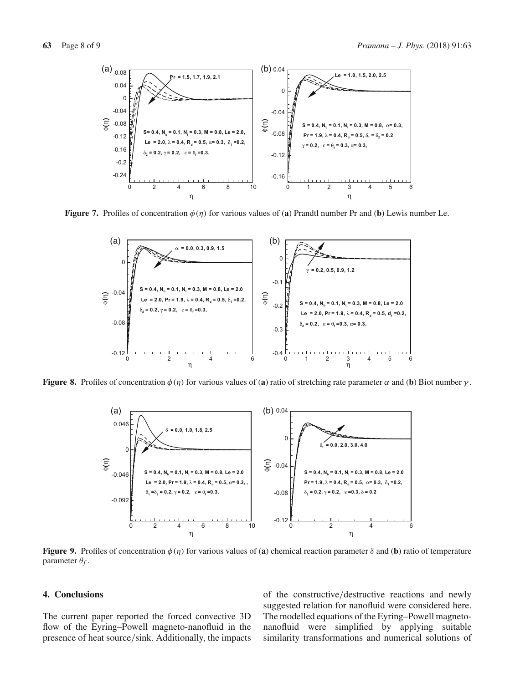

**Figure 7.** Profiles of concentration  $\phi(\eta)$  for various values of (**a**) Prandtl number Pr and (**b**) Lewis number Le.

<span id="page-7-1"></span>

**Figure 8.** Profiles of concentration  $\phi(\eta)$  for various values of (**a**) ratio of stretching rate parameter  $\alpha$  and (**b**) Biot number  $\gamma$ .

<span id="page-7-2"></span>

<span id="page-7-0"></span>**Figure 9.** Profiles of concentration  $\phi(\eta)$  for various values of (**a**) chemical reaction parameter  $\delta$  and (**b**) ratio of temperature parameter θ*f* .

#### **4. Conclusions**

The current paper reported the forced convective 3D flow of the Eyring–Powell magneto-nanofluid in the presence of heat source/sink. Additionally, the impacts of the constructive/destructive reactions and newly suggested relation for nanofluid were considered here. The modelled equations of the Eyring–Powell magnetonanofluid were simplified by applying suitable similarity transformations and numerical solutions of